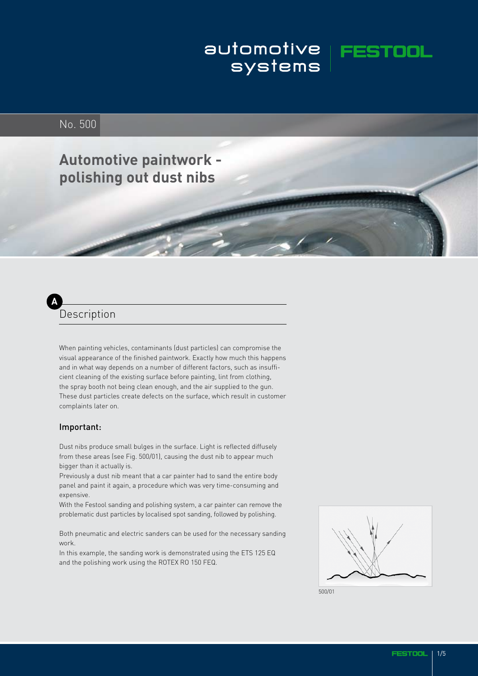# automotive **FEST**<br>systems

# No. 500

**Automotive paintwork polishing out dust nibs**

# **A** Description

When painting vehicles, contaminants (dust particles) can compromise the visual appearance of the finished paintwork. Exactly how much this happens and in what way depends on a number of different factors, such as insufficient cleaning of the existing surface before painting, lint from clothing, the spray booth not being clean enough, and the air supplied to the gun. These dust particles create defects on the surface, which result in customer complaints later on.

#### Important:

Dust nibs produce small bulges in the surface. Light is reflected diffusely from these areas (see Fig. 500/01), causing the dust nib to appear much bigger than it actually is.

Previously a dust nib meant that a car painter had to sand the entire body panel and paint it again, a procedure which was very time-consuming and expensive.

With the Festool sanding and polishing system, a car painter can remove the problematic dust particles by localised spot sanding, followed by polishing.

Both pneumatic and electric sanders can be used for the necessary sanding work.

In this example, the sanding work is demonstrated using the ETS 125 EQ and the polishing work using the ROTEX RO 150 FEQ.



500/01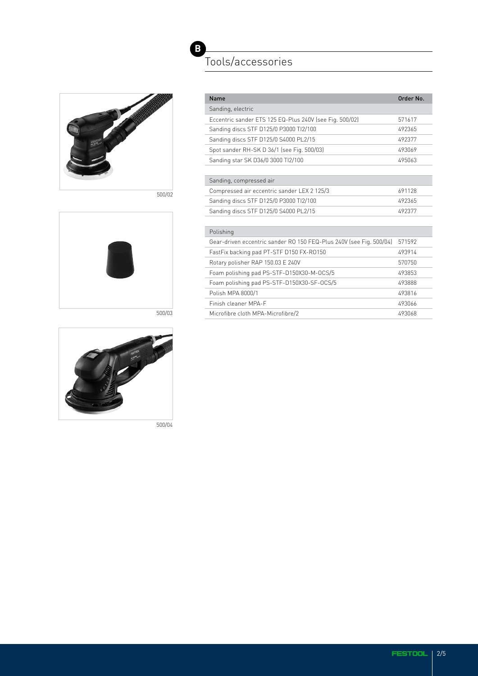

500/02





500/04

# **B** Tools/accessories

|        | Name                                                                | Order No. |
|--------|---------------------------------------------------------------------|-----------|
|        | Sanding, electric                                                   |           |
|        | Eccentric sander ETS 125 EQ-Plus 240V (see Fig. 500/02)             | 571617    |
|        | Sanding discs STF D125/0 P3000 Tl2/100                              | 492365    |
|        | Sanding discs STF D125/0 S4000 PL2/15                               | 492377    |
|        | Spot sander RH-SK D 36/1 (see Fig. 500/03)                          | 493069    |
|        | Sanding star SK D36/0 3000 Tl2/100                                  | 495063    |
|        |                                                                     |           |
|        | Sanding, compressed air                                             |           |
| 500/02 | Compressed air eccentric sander LEX 2 125/3                         | 691128    |
|        | Sanding discs STF D125/0 P3000 Tl2/100                              | 492365    |
|        | Sanding discs STF D125/0 S4000 PL2/15                               | 492377    |
|        |                                                                     |           |
|        | Polishing                                                           |           |
|        | Gear-driven eccentric sander RO 150 FEQ-Plus 240V (see Fig. 500/04) | 571592    |
|        | FastFix backing pad PT-STF D150 FX-R0150                            | 493914    |
|        | Rotary polisher RAP 150.03 E 240V                                   | 570750    |
|        | Foam polishing pad PS-STF-D150X30-M-OCS/5                           | 493853    |
|        | Foam polishing pad PS-STF-D150X30-SF-OCS/5                          | 493888    |
|        | Polish MPA 8000/1                                                   | 493816    |
|        | Finish cleaner MPA-F                                                | 493066    |
| 500/03 | Microfibre cloth MPA-Microfibre/2                                   | 493068    |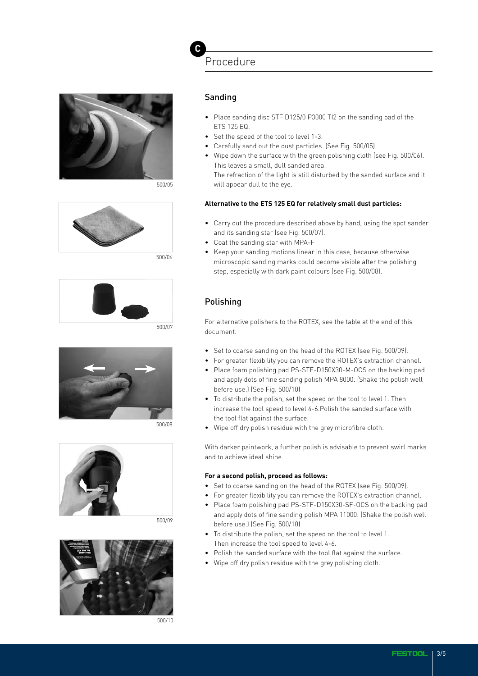

500/05



500/06





500/08



500/09



500/10

Procedure

#### Sanding

**C**

- Place sanding disc STF D125/0 P3000 TI2 on the sanding pad of the ETS 125 EQ.
- Set the speed of the tool to level 1-3.
- Carefully sand out the dust particles. (See Fig. 500/05)
- Wipe down the surface with the green polishing cloth (see Fig. 500/06). This leaves a small, dull sanded area. The refraction of the light is still disturbed by the sanded surface and it

will appear dull to the eye.

#### **Alternative to the ETS 125 EQ for relatively small dust particles:**

- Carry out the procedure described above by hand, using the spot sander and its sanding star (see Fig. 500/07).
- Coat the sanding star with MPA-F
- Keep your sanding motions linear in this case, because otherwise microscopic sanding marks could become visible after the polishing step, especially with dark paint colours (see Fig. 500/08).

### Polishing

For alternative polishers to the ROTEX, see the table at the end of this document.

- Set to coarse sanding on the head of the ROTEX (see Fig. 500/09).
- For greater flexibility you can remove the ROTEX's extraction channel.
- Place foam polishing pad PS-STF-D150X30-M-OCS on the backing pad and apply dots of fine sanding polish MPA 8000. (Shake the polish well before use.) (See Fig. 500/10)
- To distribute the polish, set the speed on the tool to level 1. Then increase the tool speed to level 4-6.Polish the sanded surface with the tool flat against the surface.
- Wipe off dry polish residue with the grey microfibre cloth.

With darker paintwork, a further polish is advisable to prevent swirl marks and to achieve ideal shine.

#### **For a second polish, proceed as follows:**

- Set to coarse sanding on the head of the ROTEX (see Fig. 500/09).
- For greater flexibility you can remove the ROTEX's extraction channel.
- Place foam polishing pad PS-STF-D150X30-SF-OCS on the backing pad and apply dots of fine sanding polish MPA 11000. (Shake the polish well before use.) (See Fig. 500/10)
- To distribute the polish, set the speed on the tool to level 1. Then increase the tool speed to level 4-6.
- Polish the sanded surface with the tool flat against the surface.
- Wipe off dry polish residue with the grey polishing cloth.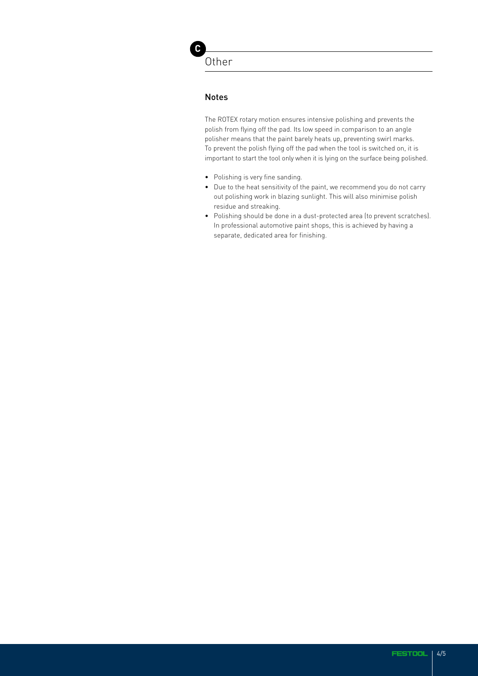**C**

#### Notes

The ROTEX rotary motion ensures intensive polishing and prevents the polish from flying off the pad. Its low speed in comparison to an angle polisher means that the paint barely heats up, preventing swirl marks. To prevent the polish flying off the pad when the tool is switched on, it is important to start the tool only when it is lying on the surface being polished.

- Polishing is very fine sanding.
- Due to the heat sensitivity of the paint, we recommend you do not carry out polishing work in blazing sunlight. This will also minimise polish residue and streaking.
- Polishing should be done in a dust-protected area (to prevent scratches). In professional automotive paint shops, this is achieved by having a separate, dedicated area for finishing.